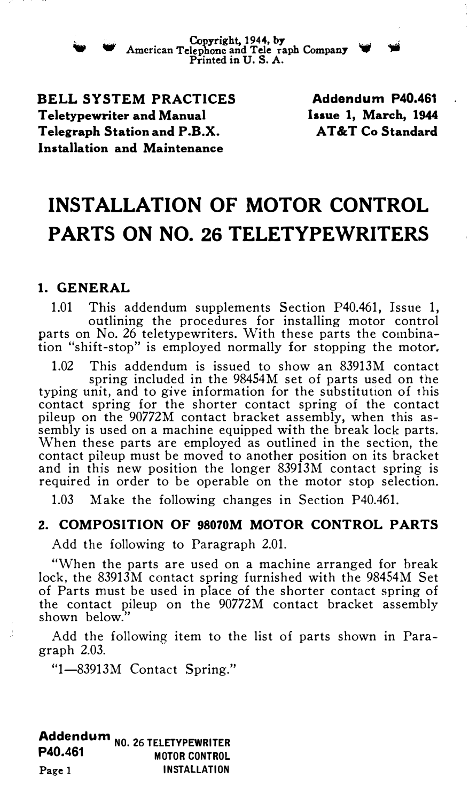Copyright, 1944, by<br>American Telephone and Tele raph Company<br>Printed in U. S. A.

BELL SYSTEM PRACTICES Teletypewriter and Manual Telegraph Station and P.B.X. Installation and Maintenance

Addendum P40.461 laaue 1, March, 1944 AT&T Co Standard

# INSTALLATION OF MOTOR CONTROL PARTS ON NO. 26 TELETYPEWRITERS

### 1. GENERAL

1.01 This addendum supplements Section P40.461, Issue 1, outlining the procedures for installing motor control parts on No. 26 teletypewriters. With these parts the combination "shift-stop" is employed normally for stopping the motor.

1.02 This addendum is issued to show an 83913M contact spring included in the 98454M set of parts used on the typing unit, and to give information for the substitution of this contact spring for the shorter contact spring of the contact pileup on the 90772M contact bracket assembly, when this assembly is used on a machine equipped with the break lock parts. When these parts are employed as outlined in the section, the contact pileup must be moved to another position on its bracket and in this new position the longer 83913M contact spring is required in order to be operable on the motor stop selection.

1.03 Make the following changes in Section P40.461.

## 2. COMPOSITION OF 98070M MOTOR CONTROL PARTS

Add the following to Paragraph 2.01.

"When the parts are used on a machine arranged for break lock, the 83913M contact spring furnished with the 98454M Set of Parts must be used in place of the shorter contact spring of the contact pileup on the 90772M contact bracket assembly shown below."

Add the following item to the list of parts shown in Paragraph 2.03.

"1-83913M Contact Spring."

Addendum No. 26 TELETYPEWRITER<br>P40.461 MOTOR CONTROL Page 1 **INSTALLATION**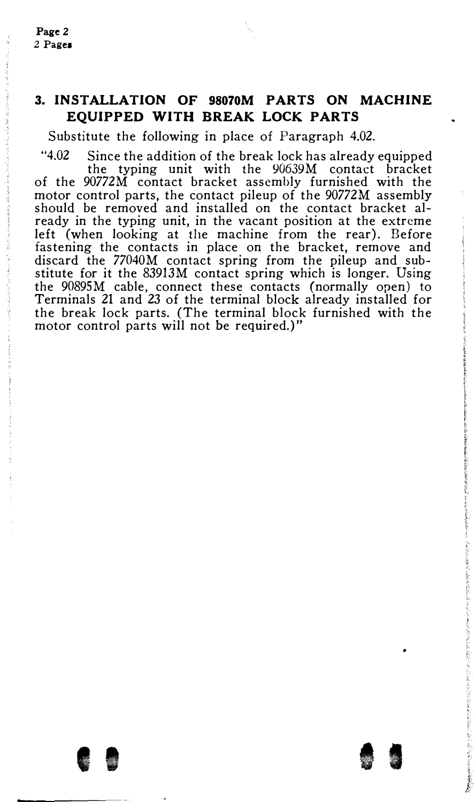## 3. INSTALLATION OF 98070M PARTS ON MACHINE EQUIPPED WITH BREAK LOCK PARTS

Substitute the following in place of Paragraph 4.02.

"4.02 Since the addition of the break lock has already equipped the typing unit with the 90639M contact bracket of the 90772M contact bracket assembly furnished with the motor control parts, the contact pileup of the 90772M assembly should be removed and installed on the contact bracket already in the typing unit, in the vacant position at the extreme left (when looking at the machine from the rear). Defore fastening the contacts in place on the bracket, remove and discard the 77040M contact spring from the pileup and substitute for it the 83913M contact spring which is longer. Using the 90895M cable, connect these contacts (normally open) to Terminals 21 and 23 of the terminal block already installed for the break lock parts. (The terminal block furnished with the motor control parts will not be required.)"

 $\bullet$   $\bullet$   $\bullet$   $\bullet$   $\bullet$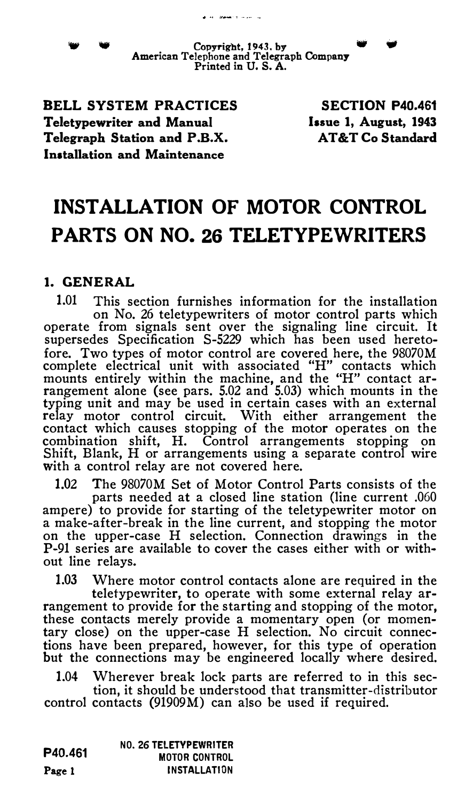and several control

BELL SYSTEM PRACTICES Teletypewriter and Manual Telegraph Station and P.B.X. Installation and Maintenance

SECTION P40.461 Issue 1, August, 1943 AT&T Co Standard

# INSTALLATION OF MOTOR CONTROL PARTS ON NO. 26 TELETYPEWRITERS

## 1. GENERAL

1.01 This section furnishes information for the installation on No. 26 teletypewriters of motor control parts which operate from signals sent over the signaling line circuit. It supersedes Specification S-5229 which has been used heretofore. Two types of motor control are covered here, the 98070M complete electrical unit with associated "H" contacts which mounts entirely within the machine, and the "H" contact ar-rangement alone (see pars. 5.02 and 5.03) which mounts in the typing unit and may be used in certain cases with an external relay motor control circuit. With either arrangement the contact which causes stopping of the motor operates on the combination shift, H. Control arrangements stopping on Shift, Blank, H or arrangements using a separate control wire with a control relay are not covered here.

1.02 The 98070M Set of Motor Control Parts consists of the parts needed at a closed line station (line current .060 ampere) to provide for starting of the teletypewriter motor on a make-after-break in the line current, and stopping the motor on the upper-case H selection. Connection drawings in the P-91 series are available to cover the cases either with or without line relays.

1.03 Where motor control contacts alone are required in the teletypewriter, to operate with some external relay ar-

rangement to provide for the starting and stopping of the motor, these contacts merely provide a momentary open (or momentary close) on the upper-case H selection. No circuit connections have been prepared, however, for this type of operation but the connections may be engineered locally where desired.

1.04 Wherever break lock parts are referred to in this section, it should be understood that transmitter-distributor control contacts (91909M) can also be used if required.

| P40.461 | NO. 26 TELETYPEWRITER |
|---------|-----------------------|
|         | <b>MOTOR CONTROL</b>  |
| Page 1  | <b>INSTALLATION</b>   |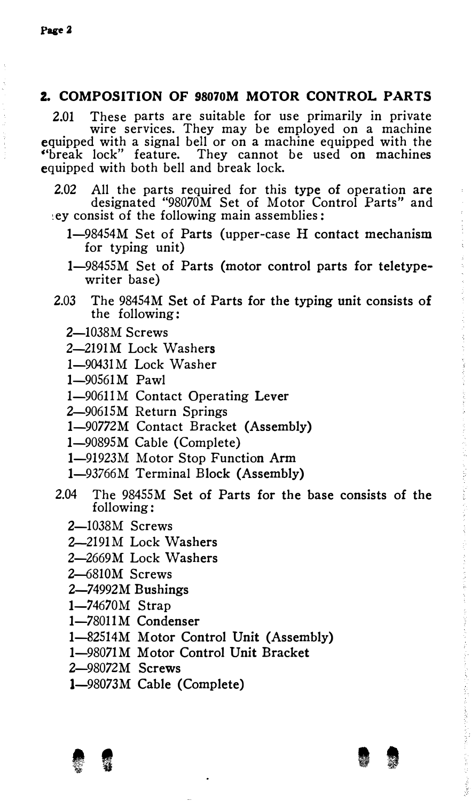## Z. COMPOSITION OF 98070M MOTOR CONTROL PARTS

2.01 These parts are suitable for use primarily in private wire services. They may be employed on a machine equipped with a signal bell or on a machine equipped with the ''break lock" feature. They cannot be used on machines equipped with both bell and break lock.

2.02 All the parts required for this type of operation are designated "98070M Set of Motor Control Parts" and ,ey consist of the following main assemblies:

- l-98454M Set of Parts (upper-case H contact mechanism for typing unit)
- l-98455M Set of Parts (motor control parts for teletypewriter base)
- 2.03 The 98454M Set of Parts for the typing unit consists of the following:
	- 2-1038M Screws
	- 2-2191M Lock Washers
	- 1-90431M Lock Washer
	- l-90561M Pawl
	- 1-90611M Contact Operating Lever
	- 2-90615M Return Springs
	- l-90772M Contact Bracket (Assembly)
	- l-90895M Cable (Complete)
	- l-91923M Motor Stop Function Arm
	- l-93766M Terminal Block (Assembly)
- 2.04 The 98455M Set of Parts for the base consists of the following:
	- 2-1038M Screws
	- 2-2191M Lock Washers
	- 2-2669M Lock Washers
	- 2-6810M Screws
	- 2-74992M Bushings
	- 1-74670M Strap
	- l-78011M Condenser
	- l--82514M Motor Control Unit (Assembly)
	- l-98071M Motor Control Unit Bracket
	- 2-98072M Screws
	- 1-98073M Cable (Complete)



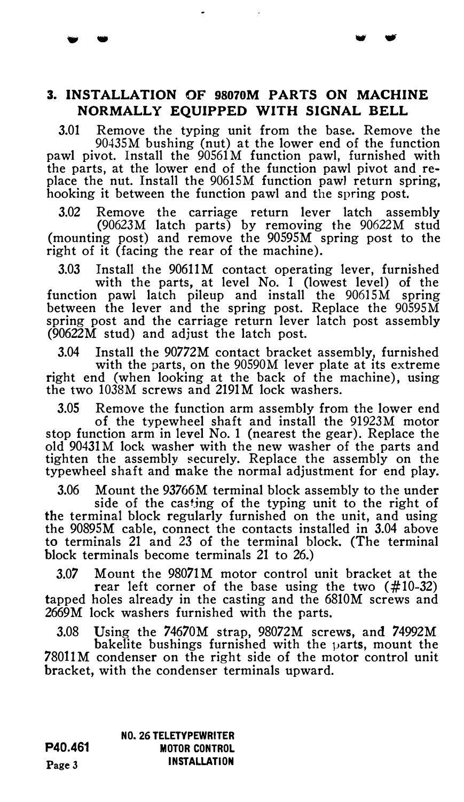## 3. INSTALLATION OF 98070M PARTS ON MACHINE NORMALLY EQUIPPED WITH SIGNAL BELL

3.01 Remove the typing unit from the base. Remove the 90435M bushing (nut) at the lower end of the function pawl pivot. Install the 90561M function pawl, furnished with the parts, at the lower end of the function pawl pivot and re-place the nut. Install the 90615M function pawl return spring, hooking it between the function pawl and the spring post.

3.02 Remove the carriage return lever latch assembly (90623M latch parts) by removing the 90622M stud (mounting post) and remove the 90595M spring post to the right of it (facing the rear of the machine).

3.03 Install the 90611M contact operating lever, furnished with the parts, at level No. 1 (lowest level) of the function pawl latch pileup and install the 90615M spring between the lever and the spring post. Replace the 90595M spring post and the carriage return lever latch post assembly  $(90622M$  stud) and adjust the latch post.

3.04 Install the 90772M contact bracket assembly, furnished with the parts, on the 90590M lever plate at its extreme right end (when looking at the back of the machine), using the two 1038M screws and 2191M lock washers.

3.05 Remove the function arm assembly from the lower end of the typewheel shaft and install the 91923M motor stop function arm in level No. 1 (nearest the gear). Replace the old 90431 M lock washer with the new washer of the parts and tighten the assembly securely. Replace the assembly on the typewheel shaft and make the normal adjustment for end play.

3.06 Mount the 93766M terminal block assembly to the under side of the casting of the typing unit to the right of the terminal block regularly furnished on the unit, and using the 90895M cable, connect the contacts installed in 3.04 above to terminals 21 and 23 of the terminal block. (The terminal block terminals become terminals 21 to 26.)

3.07 Mount the 98071M motor control unit bracket at the rear left corner of the base using the two (#10-32) tapped holes already in the casting and the 6810M screws and 2669M lock washers furnished with the parts.

3.08 Using the 74670M strap, 98072M screws, and 74992M bakelite bushings furnished with the  $\mu$ arts, mount the 78011M condenser on the right side of the motor control unit bracket, with the condenser terminals upward.

P40.461 Page 3 NO. 26 TELETYPEWRITER MOTOR CONTROL INSTALLATION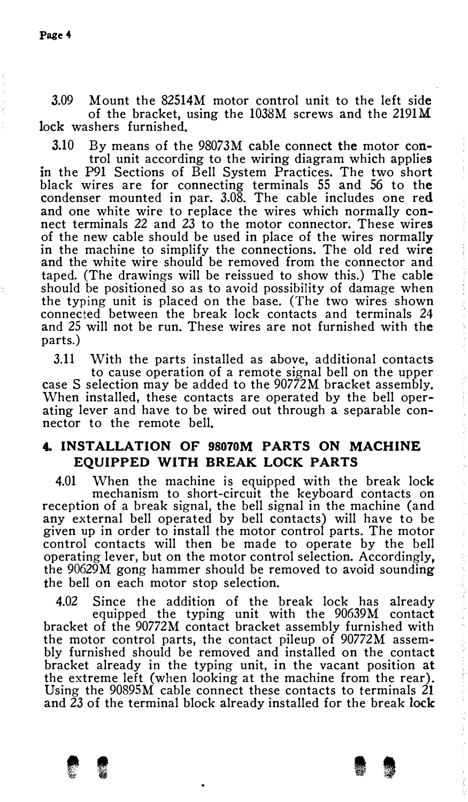3.09 Mount the 82514M motor control unit to the left side of the bracket, using the 1038M screws and the 2191M lock washers furnished.

3.10 By means of the 98073M cable connect the motor control unit according to the wiring diagram which applies in the P91 Sections of Bell System Practices. The two short black wires are for connecting terminals 55 and 56 to the condenser mounted in par. 3.08. The cable includes one red and one white wire to replace the wires which normally connect terminals 22 and 23 to the motor connector. These wires of the new cable should be used in place of the wires normally in the machine to simplify the connections. The old red wire and the white wire should be removed from the connector and taped. (The drawings will be reissued to show this.) The cable should be positioned so as to avoid possibility of damage when the typing unit is placed on the base. (The two wires shown connected between the break lock contacts and terminals 24 and 25 will not be run. These wires are not furnished with the parts.)

3.11 With the parts installed as above, additional contacts to cause operation of a remote signal bell on the upper case S selection may be added to the 90772M bracket assembly. When installed, these contacts are operated by the bell operating lever and have to be wired out through a separable connector to the remote bell.

### 4. INSTALLATION OF 98070M PARTS ON MACHINE EQUIPPED WITH BREAK LOCK PARTS

4.01 When the machine is equipped with the break lock mechanism to short-circuit the keyboard contacts on reception of a break signal, the bell signal in the machine (and any external bell operated by bell contacts) will have to be given up in order to install the motor control parts. The motor control contacts will then be made to operate by the bell operating lever, but on the motor control selection. Accordingly, the 90629M gong hammer should be removed to avoid sounding the bell on each motor stop selection.

4.02 Since the addition of the break lock has already equipped the typing unit with the 90639M contact bracket of the 90772M contact bracket assembly furnished with the motor control parts, the contact pileup of 90772M assembly furnished should be removed and installed on the contact bracket already in the typing unit, in the vacant position at the extreme left (when looking at the machine from the rear). Using the 90895M cable connect these contacts to terminals 21 and 23 of the terminal block already installed for the break lock

**I** 

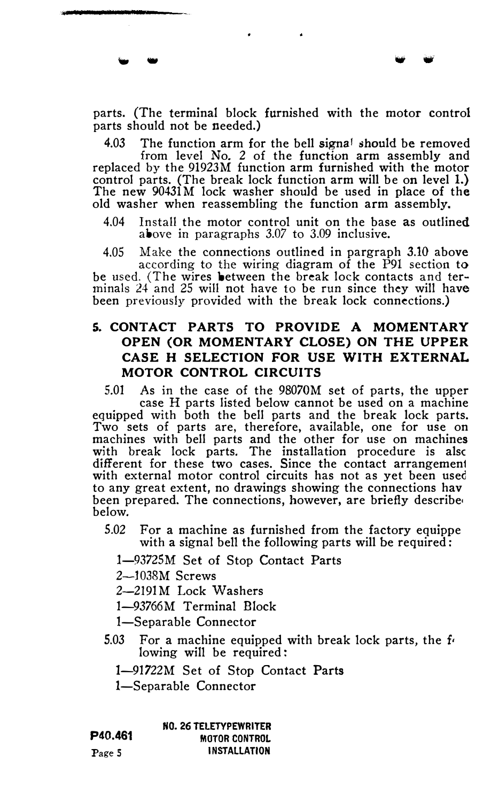.. ..

parts should not be needed.) 4.03 The function arm for the bell signa! should be removed from level No. 2 of the function arm assembly and replaced by the 91923M function arm furnished with the motor control parts. (The break lock function arm will be on level 1.) The new 90431M lock washer should be used in place of the old washer when reassembling the function arm assembly.

- 4.04 Install the motor control unit on the base as outlined above in paragraphs 3.07 to 3.09 inclusive.
- 4.05 Make the connections outlined in pargraph 3.10 above according to the wiring diagram of the P91 section to be used. (The wires between the break lock contacts and terminals 24 and 25 will not have to be run since they will have been previously provided with the break lock connections.)

## 5. CONTACT PARTS TO PROVIDE A MOMENTARY OPEN (OR MOMENTARY CLOSE) ON THE UPPER CASE H SELECTION FOR USE WITH EXTERNAL MOTOR CONTROL CIRCUITS

5.01 As in the case of the 98070M set of parts, the upper case H parts listed below cannot be used on a machine equipped with both the bell parts and the break lock parts. Two sets of parts are, therefore, available, one for use on machines with bell parts and the other for use on machines with break lock parts. The installation procedure is alsc different for these two cases. Since the contact arrangemen1 with external motor control circuits has not as yet been used to any great extent, no drawings showing the connections hav been prepared. The connections, however, are briefly describe• below.

- 5.02 For a machine as furnished from the factory equippe with a signal bell the following parts will be required:
	- l-93725M Set of Stop Contact Parts
	- 2-l038M Screws
	- 2-2191M Lock Washers
	- 1-93766M Terminal Block
	- 1-Separable Connector
- 5.03 For a machine equipped with break lock parts, the  $f<sub>1</sub>$ lowing will be required:
	- 1-91722M Set of Stop Contact Parts
	- 1-Separable Connector

|                      | <b>NO. 26 TELETYPEWRITER</b> |
|----------------------|------------------------------|
| P <sub>40</sub> .461 | <b>MOTOR CONTROL</b>         |
| Page 5               | INSTALLATION                 |